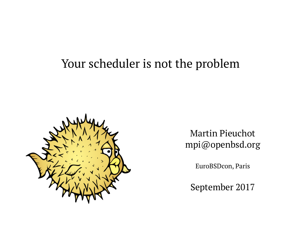### Your scheduler is not the problem



Martin Pieuchot mpi@openbsd.org

EuroBSDcon, Paris

September 2017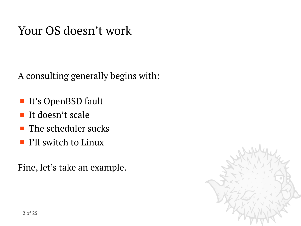A consulting generally begins with:

- It's OpenBSD fault
- $\blacksquare$  It doesn't scale
- $\blacksquare$  The scheduler sucks
- **I'll switch to Linux**

Fine, let's take an example.

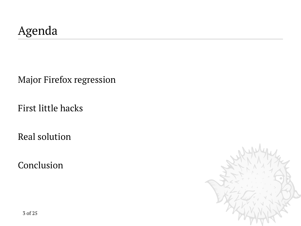[Major Firefox regression](#page-3-0)

[First little hacks](#page-12-0)

[Real solution](#page-17-0)

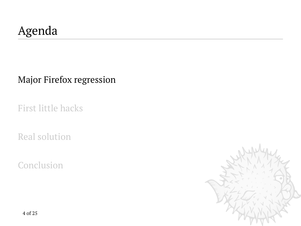<span id="page-3-0"></span>[Major Firefox regression](#page-3-0)

[First little hacks](#page-12-0)

[Real solution](#page-17-0)

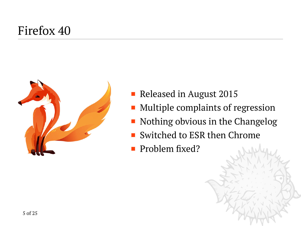# Firefox 40



- Released in August 2015
- Multiple complaints of regression
- Nothing obvious in the Changelog
- Switched to ESR then Chrome
- Problem fixed?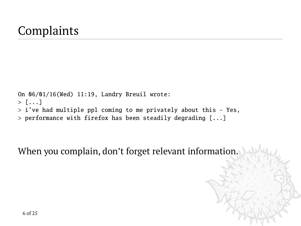## **Complaints**

```
On 06/01/16(Wed) 11:19, Landry Breuil wrote:
> [...]
> i've had multiple ppl coming to me privately about this - Yes,
> performance with firefox has been steadily degrading [...]
```
When you complain, don't forget relevant information.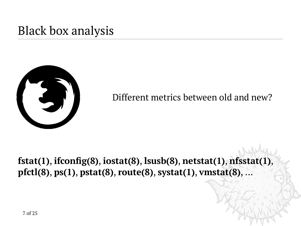## Black box analysis



Different metrics between old and new?

**fstat(1)**, **ifconfig(8)**, **iostat(8)**, **lsusb(8)**, **netstat(1)**, **nfsstat(1)**, **pfctl(8)**, **ps(1)**, **pstat(8)**, **route(8)**, **systat(1)**, **vmstat(8)**, ...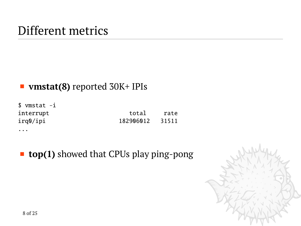## Different metrics

#### **vmstat(8)** reported 30K+ IPIs

| \$ vmstat -i |           |       |
|--------------|-----------|-------|
| interrupt    | total     | rate  |
| irq0/ipi     | 182906012 | 31511 |
| $\cdots$     |           |       |

■ **top(1)** showed that CPUs play ping-pong

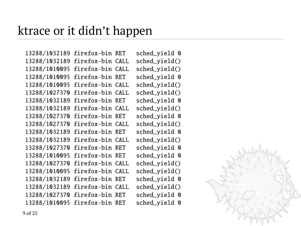### ktrace or it didn't happen

13288/1032189 firefox-bin RET sched\_yield 0 13288/1032189 firefox-bin CALL sched\_yield() 13288/1010095 firefox-bin CALL sched\_yield() 13288/1010095 firefox-bin RET sched\_yield 0 13288/1010095 firefox-bin CALL sched\_yield() 13288/1027370 firefox-bin CALL sched\_yield() 13288/1032189 firefox-bin RET sched\_yield 0 13288/1032189 firefox-bin CALL sched\_yield() 13288/1027370 firefox-bin RET sched\_yield 0 13288/1027370 firefox-bin CALL sched\_yield() 13288/1032189 firefox-bin RET sched\_yield 0 13288/1032189 firefox-bin CALL sched\_yield() 13288/1027370 firefox-bin RET sched\_yield 0 13288/1010095 firefox-bin RET sched\_yield 0 13288/1027370 firefox-bin CALL sched\_yield() 13288/1010095 firefox-bin CALL sched\_yield() 13288/1032189 firefox-bin RET sched\_yield 0 13288/1032189 firefox-bin CALL sched\_yield() 13288/1027370 firefox-bin RET sched\_yield 0 13288/1010095 firefox-bin RET sched\_yield 0

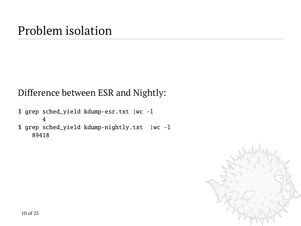## Problem isolation

#### Difference between ESR and Nightly:

\$ grep sched\_yield kdump-esr.txt |wc -l 4 \$ grep sched\_yield kdump-nightly.txt |wc -l 89418

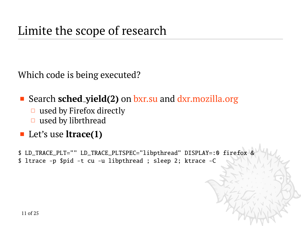Which code is being executed?

■ Search **sched\_yield(2)** on [bxr.su](http://bxr.su/search?q=sched_yield&defs=&refs=&path=&project=OpenBSD) and [dxr.mozilla.org](https://dxr.mozilla.org/mozilla-central/search?q=sched_yield)

- $\Box$  used by Firefox directly
- $\Box$  used by librthread

#### ■ Let's use **ltrace(1)**

\$ LD\_TRACE\_PLT="" LD\_TRACE\_PLTSPEC="libpthread" DISPLAY=:0 firefox & \$ ltrace -p \$pid -t cu -u libpthread ; sleep 2; ktrace -C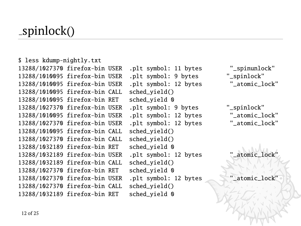### spinlock()

\$ less kdump-nightly.txt 13288/1027370 firefox-bin USER .plt symbol: 11 bytes "\_spinunlock" 13288/1010095 firefox-bin USER .plt symbol: 9 bytes "\_spinlock" 13288/1010095 firefox-bin USER .plt symbol: 12 bytes "\_atomic\_lock" 13288/1010095 firefox-bin CALL sched\_yield() 13288/1010095 firefox-bin RET sched\_yield 0 13288/1027370 firefox-bin USER .plt symbol: 9 bytes "\_spinlock" 13288/1010095 firefox-bin USER .plt symbol: 12 bytes "\_atomic\_lock" 13288/1027370 firefox-bin USER .plt symbol: 12 bytes "\_atomic\_lock" 13288/1010095 firefox-bin CALL sched\_yield() 13288/1027370 firefox-bin CALL sched\_yield() 13288/1032189 firefox-bin RET sched\_yield 0 13288/1032189 firefox-bin USER .plt symbol: 12 bytes "\_atomic\_lock" 13288/1032189 firefox-bin CALL sched\_yield() 13288/1027370 firefox-bin RET sched\_yield 0 13288/1027370 firefox-bin USER .plt symbol: 12 bytes "\_atomic\_lock" 13288/1027370 firefox-bin CALL sched\_yield() 13288/1032189 firefox-bin RET sched\_yield 0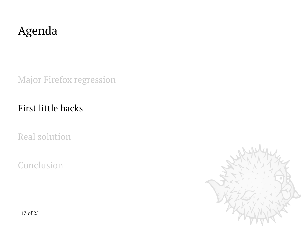# <span id="page-12-0"></span>Agenda

[Major Firefox regression](#page-3-0)

#### [First little hacks](#page-12-0)

[Real solution](#page-17-0)

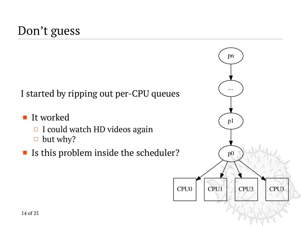## Don't guess

I started by ripping out per-CPU queues

- It worked
	- $\Box$  I could watch HD videos again
	- $\Box$  but why?
- If is this problem inside the scheduler?

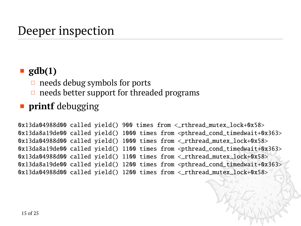## Deeper inspection

#### ■ gdb(1)

- $\Box$  needs debug symbols for ports
- $\Box$  needs better support for threaded programs

#### **printf** debugging

 $0x13da04988d00$  called yield() 900 times from  $\lt$  rthread mutex lock+0x58> 0x13da8a19de00 called yield() 1000 times from <pthread\_cond\_timedwait+0x363> 0x13da04988d00 called yield() 1000 times from <\_rthread\_mutex\_lock+0x58> 0x13da8a19de00 called yield() 1100 times from <pthread\_cond\_timedwait+0x363> 0x13da04988d00 called yield() 1100 times from <\_rthread\_mutex\_lock+0x58> 0x13da8a19de00 called yield() 1200 times from <pthread\_cond\_timedwait+0x363> 0x13da04988d00 called yield() 1200 times from <\_ rthread\_mutex\_lock+0x58>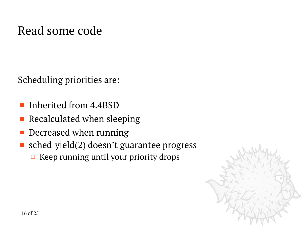Scheduling priorities are:

- **Inherited from 4.4BSD**
- $\blacksquare$  Recalculated when sleeping
- Decreased when running
- sched yield(2) doesn't guarantee progress
	- $\Box$  Keep running until your priority drops

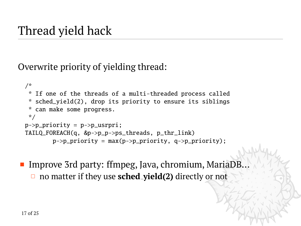# Thread yield hack

Overwrite priority of yielding thread:

```
/*
 * If one of the threads of a multi-threaded process called
 * sched_yield(2), drop its priority to ensure its siblings
 * can make some progress.
 */
p->p_priority = p->p_usrpri;
TAILQ_FOREACH(q, &p->p_p->ps_threads, p_thr_link)
        p->p_priority = max(p->p_priority, q->p_priority);
```
■ Improve 3rd party: ffmpeg, Java, chromium, MariaDB... no matter if they use **sched yield(2)** directly or not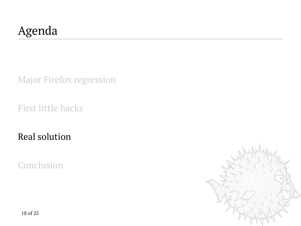# <span id="page-17-0"></span>Agenda

[Major Firefox regression](#page-3-0)

[First little hacks](#page-12-0)

[Real solution](#page-17-0)

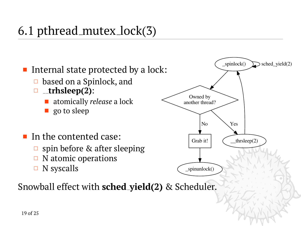# 6.1 pthread mutex lock(3)



- based on a Spinlock, and
- **trhsleep(2)**:
	- atomically *release* a lock
	- **go to sleep**
- $\blacksquare$  In the contented case:
	- $\Box$  spin before & after sleeping
	- $\Box$  N atomic operations
	- $\Box$  N syscalls



Snowball effect with **sched yield(2)** & Scheduler.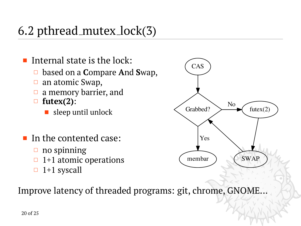# 6.2 pthread mutex lock(3)

- Internal state is the lock:
	- based on a **C**ompare **A**nd **S**wap,
	- $\Box$  an atomic Swap,
	- $\Box$  a memory barrier, and
	- **futex(2)**:
		- sleep until unlock
- In the contented case:
	- $\Box$  no spinning
	- $\Box$  1+1 atomic operations
	- 1+1 syscall



Improve latency of threaded programs: git, chrome, GNOME...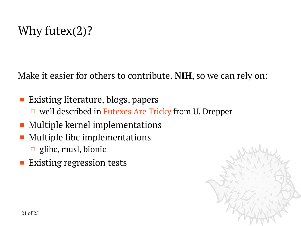Make it easier for others to contribute. **NIH**, so we can rely on:

- Existing literature, blogs, papers  $\Box$  well described in [Futexes Are Tricky](https://www.akkadia.org/drepper/futex.pdf) from U. Drepper
- Multiple kernel implementations
- Multiple libc implementations
	- $\Box$  glibc, musl, bionic
- **Existing regression tests**

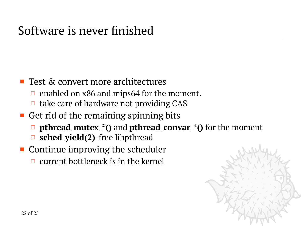#### ■ Test & convert more architectures

- $\Box$  enabled on x86 and mips64 for the moment.
- $\Box$  take care of hardware not providing CAS
- Get rid of the remaining spinning bits
	- **pthread mutex \*()** and **pthread convar \*()** for the moment
	- **sched yield(2)**-free libpthread
- **Continue improving the scheduler** 
	- $\Box$  current bottleneck is in the kernel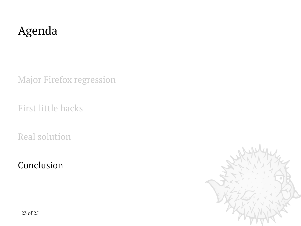# <span id="page-22-0"></span>Agenda

[Major Firefox regression](#page-3-0)

[First little hacks](#page-12-0)

[Real solution](#page-17-0)

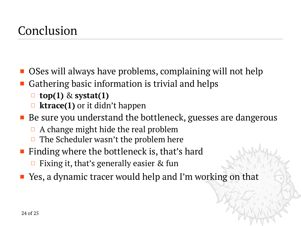- OSes will always have problems, complaining will not help
- Gathering basic information is trivial and helps
	- **top(1)** & **systat(1)**
	- **ktrace(1)** or it didn't happen
- Be sure you understand the bottleneck, guesses are dangerous
	- $\Box$  A change might hide the real problem
	- $\Box$  The Scheduler wasn't the problem here
- Finding where the bottleneck is, that's hard
	- $\Box$  Fixing it, that's generally easier & fun
- Yes, a dynamic tracer would help and I'm working on that